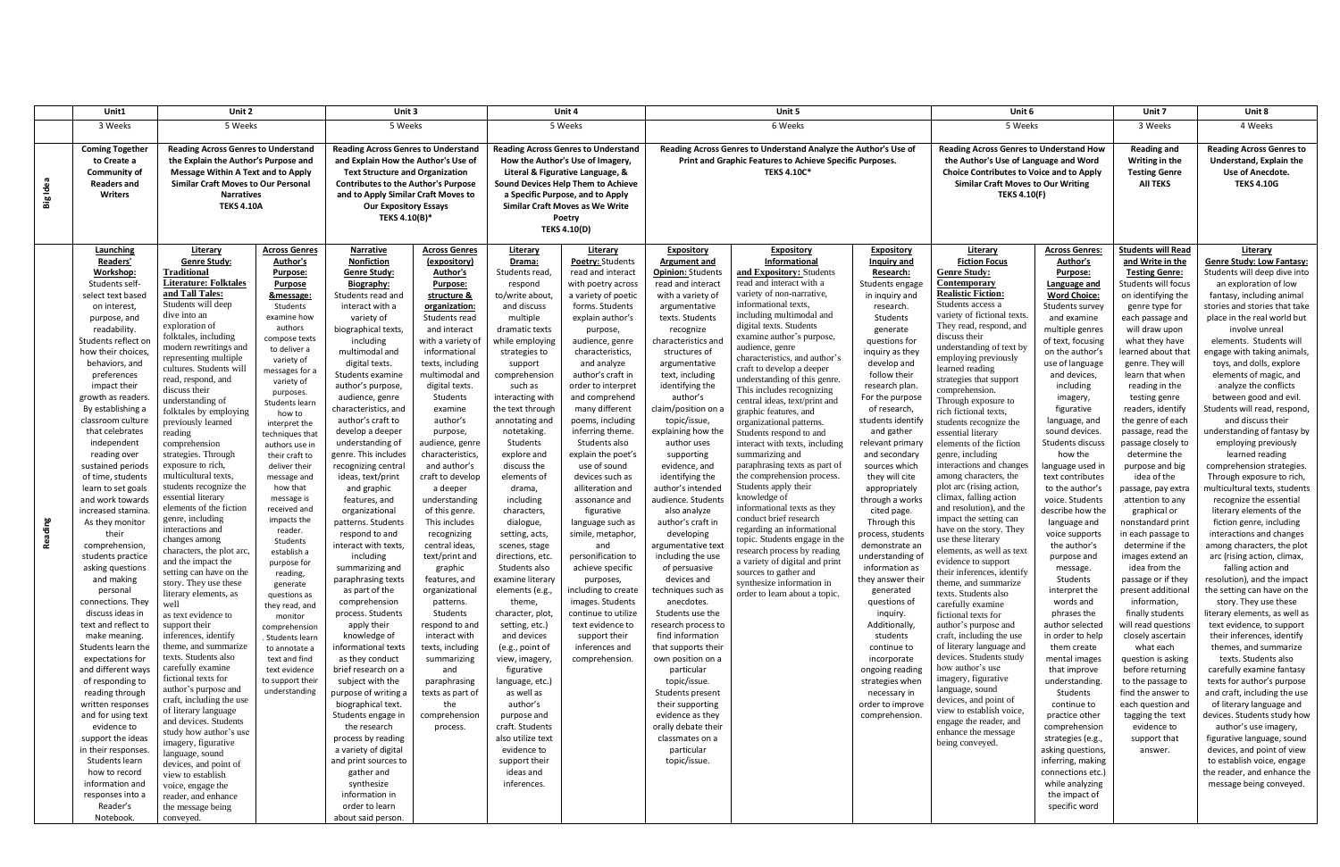|             | Unit1                                                                                                                                                                                                                                                                                                                                                                                                                                                                                                                                                                                                                                                                                                                                                                                                                                                                                                                                                                   | Unit 2                                                                                                                                                                                                                                                                                                                                                                                                                                                                                                                                                                                                                                                                                                                                                                                                                                                                                                                                                                                                                                                                                                                                                                                                          |                                                                                                                                                                                                                                                                                                                                                                                                                                                                                                                                                                                                                                                                          | Unit 3                                                                                                                                                                                                                                                                                                                                                                                                                                                                                                                                                                                                                                                                                                                                                                                                                                                                                                                                                                                                                     |                                                                                                                                                                                                                                                                                                                                                                                                                                                                                                                                                                                                                                                                                                    | Unit 4                                                                                                                                                                                                                                                                                                                                                                                                                                                                                                                                                                                                                                                                                                                                                                         |                                                                                                                                                                                                                                                                                                                                                                                                                                                                                                                                                                                                                                                                                                               | Unit 5                                                                                                                                                                                                                                                                                                                                                                                                                                                                                                                                                                                                                                                                                                                                                                                                                                                                                             |                                                                                                                                                                                                                                                                                                                                                                                                                                                                                                                                                                                                                                                                                                                                                                                                                                                                                                                                                |                                                                                                                                                                                                                                                                                                                                                                                                                                                                                                                                                                                                                                                                                                                                       | Unit 6                                                                                                                                                                                                                                                                                                                                                                                                                                                                                                                                                                                                                                                                                                                                                                                                                                                                                                                                                                                                                                                                                                                                                                    |                                                                                                                                                                                                                                                                                                                                                                                                                                                                                                                                                                                                                                                                                                                                                                                                                                                                                       | Unit 7                                                                                                                                                                                                                                                                                                                                                                                                                                                                                                                                                                                                                                                                                                                                                                                                                                                                                                              | Unit 8                                                                                                                                                                                                                                                                                                                                                                                                                                                                                                                                                                                                                                                                                                                                                                                                                                                                                                                                                                                                                                                                                                                                                                                                                                                                                                                                                                                            |  |
|-------------|-------------------------------------------------------------------------------------------------------------------------------------------------------------------------------------------------------------------------------------------------------------------------------------------------------------------------------------------------------------------------------------------------------------------------------------------------------------------------------------------------------------------------------------------------------------------------------------------------------------------------------------------------------------------------------------------------------------------------------------------------------------------------------------------------------------------------------------------------------------------------------------------------------------------------------------------------------------------------|-----------------------------------------------------------------------------------------------------------------------------------------------------------------------------------------------------------------------------------------------------------------------------------------------------------------------------------------------------------------------------------------------------------------------------------------------------------------------------------------------------------------------------------------------------------------------------------------------------------------------------------------------------------------------------------------------------------------------------------------------------------------------------------------------------------------------------------------------------------------------------------------------------------------------------------------------------------------------------------------------------------------------------------------------------------------------------------------------------------------------------------------------------------------------------------------------------------------|--------------------------------------------------------------------------------------------------------------------------------------------------------------------------------------------------------------------------------------------------------------------------------------------------------------------------------------------------------------------------------------------------------------------------------------------------------------------------------------------------------------------------------------------------------------------------------------------------------------------------------------------------------------------------|----------------------------------------------------------------------------------------------------------------------------------------------------------------------------------------------------------------------------------------------------------------------------------------------------------------------------------------------------------------------------------------------------------------------------------------------------------------------------------------------------------------------------------------------------------------------------------------------------------------------------------------------------------------------------------------------------------------------------------------------------------------------------------------------------------------------------------------------------------------------------------------------------------------------------------------------------------------------------------------------------------------------------|----------------------------------------------------------------------------------------------------------------------------------------------------------------------------------------------------------------------------------------------------------------------------------------------------------------------------------------------------------------------------------------------------------------------------------------------------------------------------------------------------------------------------------------------------------------------------------------------------------------------------------------------------------------------------------------------------|--------------------------------------------------------------------------------------------------------------------------------------------------------------------------------------------------------------------------------------------------------------------------------------------------------------------------------------------------------------------------------------------------------------------------------------------------------------------------------------------------------------------------------------------------------------------------------------------------------------------------------------------------------------------------------------------------------------------------------------------------------------------------------|---------------------------------------------------------------------------------------------------------------------------------------------------------------------------------------------------------------------------------------------------------------------------------------------------------------------------------------------------------------------------------------------------------------------------------------------------------------------------------------------------------------------------------------------------------------------------------------------------------------------------------------------------------------------------------------------------------------|----------------------------------------------------------------------------------------------------------------------------------------------------------------------------------------------------------------------------------------------------------------------------------------------------------------------------------------------------------------------------------------------------------------------------------------------------------------------------------------------------------------------------------------------------------------------------------------------------------------------------------------------------------------------------------------------------------------------------------------------------------------------------------------------------------------------------------------------------------------------------------------------------|------------------------------------------------------------------------------------------------------------------------------------------------------------------------------------------------------------------------------------------------------------------------------------------------------------------------------------------------------------------------------------------------------------------------------------------------------------------------------------------------------------------------------------------------------------------------------------------------------------------------------------------------------------------------------------------------------------------------------------------------------------------------------------------------------------------------------------------------------------------------------------------------------------------------------------------------|---------------------------------------------------------------------------------------------------------------------------------------------------------------------------------------------------------------------------------------------------------------------------------------------------------------------------------------------------------------------------------------------------------------------------------------------------------------------------------------------------------------------------------------------------------------------------------------------------------------------------------------------------------------------------------------------------------------------------------------|---------------------------------------------------------------------------------------------------------------------------------------------------------------------------------------------------------------------------------------------------------------------------------------------------------------------------------------------------------------------------------------------------------------------------------------------------------------------------------------------------------------------------------------------------------------------------------------------------------------------------------------------------------------------------------------------------------------------------------------------------------------------------------------------------------------------------------------------------------------------------------------------------------------------------------------------------------------------------------------------------------------------------------------------------------------------------------------------------------------------------------------------------------------------------|---------------------------------------------------------------------------------------------------------------------------------------------------------------------------------------------------------------------------------------------------------------------------------------------------------------------------------------------------------------------------------------------------------------------------------------------------------------------------------------------------------------------------------------------------------------------------------------------------------------------------------------------------------------------------------------------------------------------------------------------------------------------------------------------------------------------------------------------------------------------------------------|---------------------------------------------------------------------------------------------------------------------------------------------------------------------------------------------------------------------------------------------------------------------------------------------------------------------------------------------------------------------------------------------------------------------------------------------------------------------------------------------------------------------------------------------------------------------------------------------------------------------------------------------------------------------------------------------------------------------------------------------------------------------------------------------------------------------------------------------------------------------------------------------------------------------|---------------------------------------------------------------------------------------------------------------------------------------------------------------------------------------------------------------------------------------------------------------------------------------------------------------------------------------------------------------------------------------------------------------------------------------------------------------------------------------------------------------------------------------------------------------------------------------------------------------------------------------------------------------------------------------------------------------------------------------------------------------------------------------------------------------------------------------------------------------------------------------------------------------------------------------------------------------------------------------------------------------------------------------------------------------------------------------------------------------------------------------------------------------------------------------------------------------------------------------------------------------------------------------------------------------------------------------------------------------------------------------------------|--|
|             | 3 Weeks                                                                                                                                                                                                                                                                                                                                                                                                                                                                                                                                                                                                                                                                                                                                                                                                                                                                                                                                                                 | 5 Weeks                                                                                                                                                                                                                                                                                                                                                                                                                                                                                                                                                                                                                                                                                                                                                                                                                                                                                                                                                                                                                                                                                                                                                                                                         |                                                                                                                                                                                                                                                                                                                                                                                                                                                                                                                                                                                                                                                                          | 5 Weeks                                                                                                                                                                                                                                                                                                                                                                                                                                                                                                                                                                                                                                                                                                                                                                                                                                                                                                                                                                                                                    |                                                                                                                                                                                                                                                                                                                                                                                                                                                                                                                                                                                                                                                                                                    | 5 Weeks                                                                                                                                                                                                                                                                                                                                                                                                                                                                                                                                                                                                                                                                                                                                                                        |                                                                                                                                                                                                                                                                                                                                                                                                                                                                                                                                                                                                                                                                                                               | 6 Weeks                                                                                                                                                                                                                                                                                                                                                                                                                                                                                                                                                                                                                                                                                                                                                                                                                                                                                            |                                                                                                                                                                                                                                                                                                                                                                                                                                                                                                                                                                                                                                                                                                                                                                                                                                                                                                                                                |                                                                                                                                                                                                                                                                                                                                                                                                                                                                                                                                                                                                                                                                                                                                       | 5 Weeks                                                                                                                                                                                                                                                                                                                                                                                                                                                                                                                                                                                                                                                                                                                                                                                                                                                                                                                                                                                                                                                                                                                                                                   |                                                                                                                                                                                                                                                                                                                                                                                                                                                                                                                                                                                                                                                                                                                                                                                                                                                                                       | 3 Weeks                                                                                                                                                                                                                                                                                                                                                                                                                                                                                                                                                                                                                                                                                                                                                                                                                                                                                                             | 4 Weeks                                                                                                                                                                                                                                                                                                                                                                                                                                                                                                                                                                                                                                                                                                                                                                                                                                                                                                                                                                                                                                                                                                                                                                                                                                                                                                                                                                                           |  |
| Idea<br>Big | <b>Coming Together</b><br>to Create a<br><b>Community of</b><br><b>Readers and</b><br>Writers                                                                                                                                                                                                                                                                                                                                                                                                                                                                                                                                                                                                                                                                                                                                                                                                                                                                           | <b>Reading Across Genres to Understand</b><br>the Explain the Author's Purpose and<br><b>Message Within A Text and to Apply</b><br><b>Similar Craft Moves to Our Personal</b><br><b>Narratives</b><br><b>TEKS 4.10A</b>                                                                                                                                                                                                                                                                                                                                                                                                                                                                                                                                                                                                                                                                                                                                                                                                                                                                                                                                                                                         |                                                                                                                                                                                                                                                                                                                                                                                                                                                                                                                                                                                                                                                                          | <b>Reading Across Genres to Understand</b><br>and Explain How the Author's Use of<br><b>Text Structure and Organization</b><br><b>Contributes to the Author's Purpose</b><br>and to Apply Similar Craft Moves to<br><b>Our Expository Essays</b><br>TEKS 4.10(B)*                                                                                                                                                                                                                                                                                                                                                                                                                                                                                                                                                                                                                                                                                                                                                          |                                                                                                                                                                                                                                                                                                                                                                                                                                                                                                                                                                                                                                                                                                    | <b>Reading Across Genres to Understand</b><br>How the Author's Use of Imagery,<br>Literal & Figurative Language, &<br>Sound Devices Help Them to Achieve<br>a Specific Purpose, and to Apply<br>Similar Craft Moves as We Write<br>Poetry<br><b>TEKS 4.10(D)</b>                                                                                                                                                                                                                                                                                                                                                                                                                                                                                                               |                                                                                                                                                                                                                                                                                                                                                                                                                                                                                                                                                                                                                                                                                                               | Reading Across Genres to Understand Analyze the Author's Use of<br>Print and Graphic Features to Achieve Specific Purposes.<br><b>TEKS 4.10C*</b>                                                                                                                                                                                                                                                                                                                                                                                                                                                                                                                                                                                                                                                                                                                                                  |                                                                                                                                                                                                                                                                                                                                                                                                                                                                                                                                                                                                                                                                                                                                                                                                                                                                                                                                                |                                                                                                                                                                                                                                                                                                                                                                                                                                                                                                                                                                                                                                                                                                                                       | <b>Reading Across Genres to Understand How</b><br>the Author's Use of Language and Word<br><b>Choice Contributes to Voice and to Apply</b><br><b>Similar Craft Moves to Our Writing</b><br><b>TEKS 4.10(F)</b>                                                                                                                                                                                                                                                                                                                                                                                                                                                                                                                                                                                                                                                                                                                                                                                                                                                                                                                                                            |                                                                                                                                                                                                                                                                                                                                                                                                                                                                                                                                                                                                                                                                                                                                                                                                                                                                                       | <b>Reading and</b><br>Writing in the<br><b>Testing Genre</b><br><b>AII TEKS</b>                                                                                                                                                                                                                                                                                                                                                                                                                                                                                                                                                                                                                                                                                                                                                                                                                                     | <b>Reading Across Genres to</b><br>Understand, Explain the<br>Use of Anecdote.<br><b>TEKS 4.10G</b>                                                                                                                                                                                                                                                                                                                                                                                                                                                                                                                                                                                                                                                                                                                                                                                                                                                                                                                                                                                                                                                                                                                                                                                                                                                                                               |  |
| ading<br>æ  | <b>Launching</b><br>Readers'<br>Workshop:<br>Students self<br>select text based<br>on interest,<br>purpose, and<br>readability<br>Students reflect or<br>how their choices<br>behaviors, and<br>preferences<br>impact their<br>growth as readers<br>By establishing a<br>classroom culture<br>that celebrates<br>independent<br>reading over<br>sustained periods<br>of time, students<br>learn to set goals<br>and work towards<br>increased stamina.<br>As they monitor<br>their<br>comprehension<br>students practice<br>asking questions<br>and making<br>personal<br>connections. They<br>discuss ideas in<br>text and reflect to<br>make meaning.<br>Students learn the<br>expectations for<br>and different ways<br>of responding to<br>reading through<br>written responses<br>and for using text<br>evidence to<br>support the ideas<br>in their responses.<br>Students learn<br>how to record<br>information and<br>responses into a<br>Reader's<br>Notebook. | Literary<br><b>Genre Study:</b><br>Traditional<br>Literature: Folktales<br>and Tall Tales:<br>Students will deep<br>dive into an<br>exploration of<br>folktales, including<br>modern rewritings and<br>representing multiple<br>cultures. Students will<br>read, respond, and<br>discuss their<br>understanding of<br>folktales by employing<br>previously learned<br>reading<br>comprehension<br>strategies. Through<br>exposure to rich,<br>multicultural texts,<br>students recognize the<br>essential literary<br>elements of the fiction<br>genre, including<br>interactions and<br>changes among<br>characters, the plot arc,<br>and the impact the<br>setting can have on the<br>story. They use these<br>literary elements, as<br>well<br>as text evidence to<br>support their<br>inferences, identify<br>theme, and summarize<br>texts. Students also<br>carefully examine<br>fictional texts for<br>author's purpose and<br>craft, including the use<br>of literary language<br>and devices. Students<br>study how author's use<br>imagery, figurative<br>language, sound<br>devices, and point of<br>view to establish<br>voice, engage the<br>reader, and enhance<br>the message being<br>conveyed. | <b>Across Genres</b><br>Author's<br><b>Purpose:</b><br><b>Purpose</b><br>&message:<br>Students<br>examine how<br>authors<br>compose texts<br>to deliver a<br>variety of<br>messages for a<br>variety of<br>purposes.<br>Students learr<br>how to<br>interpret the<br>techniques that<br>authors use in<br>their craft to<br>deliver their<br>message and<br>how that<br>message is<br>received and<br>impacts the<br>reader.<br>Students<br>establish a<br>purpose for<br>reading,<br>generate<br>questions as<br>they read, and<br>monitor<br>comprehension<br>. Students learn<br>to annotate a<br>text and find<br>text evidence<br>to support their<br>understanding | <b>Narrative</b><br>Nonfiction<br><b>Genre Study:</b><br>Biography:<br>Students read and<br>interact with a<br>variety of<br>biographical texts,<br>including<br>multimodal and<br>digital texts.<br>Students examine<br>author's purpose,<br>audience, genre<br>characteristics, and<br>author's craft to<br>develop a deeper<br>understanding of<br>genre. This includes<br>recognizing central<br>ideas, text/print<br>and graphic<br>features, and<br>organizational<br>patterns. Students<br>respond to and<br>interact with texts,<br>including<br>summarizing and<br>paraphrasing texts<br>as part of the<br>comprehension<br>process. Students<br>apply their<br>knowledge of<br>informational texts<br>as they conduct<br>brief research on a<br>subject with the<br>purpose of writing a<br>biographical text.<br>Students engage in<br>the research<br>process by reading<br>a variety of digital<br>and print sources to<br>gather and<br>synthesize<br>information in<br>order to learn<br>about said person. | <b>Across Genres</b><br>(expository)<br>Author's<br>Purpose:<br>structure &<br>organization:<br>Students read<br>and interact<br>with a variety of<br>informational<br>texts, including<br>multimodal and<br>digital texts.<br>Students<br>examine<br>author's<br>purpose,<br>audience, genre<br>characteristics<br>and author's<br>craft to develop<br>a deeper<br>understanding<br>of this genre.<br>This includes<br>recognizing<br>central ideas<br>text/print and<br>graphic<br>features, and<br>organizational<br>patterns.<br>Students<br>respond to and<br>interact with<br>texts, including<br>summarizing<br>and<br>paraphrasing<br>texts as part of<br>the<br>comprehension<br>process. | Literary<br>Drama:<br>Students read<br>respond<br>to/write about<br>and discuss<br>multiple<br>dramatic texts<br>while employing<br>strategies to<br>support<br>comprehension<br>such as<br>interacting with<br>the text through<br>annotating and<br>notetaking.<br>Students<br>explore and<br>discuss the<br>elements of<br>drama,<br>including<br>characters,<br>dialogue,<br>setting, acts,<br>scenes, stage<br>directions, etc.<br>Students also<br>examine literary<br>elements (e.g.,<br>theme,<br>character, plot,<br>setting, etc.)<br>and devices<br>(e.g., point of<br>view, imagery,<br>figurative<br>language, etc.)<br>as well as<br>author's<br>purpose and<br>craft. Students<br>also utilize text<br>evidence to<br>support their<br>ideas and<br>inferences. | Literary<br>Poetry: Students<br>read and interact<br>with poetry across<br>a variety of poetic<br>forms. Students<br>explain author's<br>purpose,<br>audience, genre<br>characteristics,<br>and analyze<br>author's craft in<br>order to interpret<br>and comprehend<br>many different<br>poems, including<br>inferring theme.<br>Students also<br>explain the poet's<br>use of sound<br>devices such as<br>alliteration and<br>assonance and<br>figurative<br>language such as<br>simile, metaphor,<br>and<br>personification to<br>achieve specific<br>purposes,<br>including to create<br>images. Students<br>continue to utilize<br>text evidence to<br>support their<br>inferences and<br>comprehension. | <b>Expository</b><br><b>Argument and</b><br><b>Opinion: Students</b><br>read and interact<br>with a variety of<br>argumentative<br>texts. Students<br>recognize<br>characteristics and<br>structures of<br>argumentative<br>text, including<br>identifying the<br>author's<br>claim/position on a<br>topic/issue,<br>explaining how the<br>author uses<br>supporting<br>evidence, and<br>identifying the<br>author's intended<br>audience. Students<br>also analyze<br>author's craft in<br>developing<br>argumentative text<br>including the use<br>of persuasive<br>devices and<br>techniques such as<br>anecdotes.<br>Students use the<br>research process to<br>find information<br>that supports their<br>own position on a<br>particular<br>topic/issue.<br>Students present<br>their supporting<br>evidence as they<br>orally debate their<br>classmates on a<br>particular<br>topic/issue. | <b>Expository</b><br>Informational<br>and Expository: Students<br>read and interact with a<br>variety of non-narrative,<br>informational texts,<br>including multimodal and<br>digital texts. Students<br>examine author's purpose,<br>audience, genre<br>characteristics, and author's<br>craft to develop a deeper<br>understanding of this genre.<br>This includes recognizing<br>central ideas, text/print and<br>graphic features, and<br>organizational patterns.<br>Students respond to and<br>interact with texts, including<br>summarizing and<br>paraphrasing texts as part of<br>the comprehension process.<br>Students apply their<br>knowledge of<br>informational texts as they<br>conduct brief research<br>regarding an informational<br>topic. Students engage in the<br>research process by reading<br>a variety of digital and print<br>sources to gather and<br>synthesize information in<br>order to learn about a topic. | <b>Expository</b><br>Inquiry and<br><b>Research:</b><br>Students engage<br>in inquiry and<br>research.<br>Students<br>generate<br>questions for<br>inquiry as they<br>develop and<br>follow their<br>research plan.<br>For the purpose<br>of research,<br>students identify<br>and gather<br>relevant primary<br>and secondary<br>sources which<br>they will cite<br>appropriately<br>through a works<br>cited page.<br>Through this<br>process, students<br>demonstrate an<br>understanding of<br>information as<br>they answer their<br>generated<br>questions of<br>inquiry.<br>Additionally<br>students<br>continue to<br>incorporate<br>ongoing reading<br>strategies when<br>necessary in<br>order to improve<br>comprehension. | Literary<br><b>Fiction Focus</b><br><b>Genre Study:</b><br>Contemporary<br><b>Realistic Fiction:</b><br>Students access a<br>variety of fictional texts.<br>They read, respond, and<br>discuss their<br>understanding of text by<br>employing previously<br>learned reading<br>strategies that support<br>comprehension.<br>Through exposure to<br>rich fictional texts,<br>students recognize the<br>essential literary<br>elements of the fiction<br>genre, including<br>interactions and changes<br>among characters, the<br>plot arc (rising action,<br>climax, falling action<br>and resolution), and the<br>impact the setting can<br>have on the story. They<br>use these literary<br>elements, as well as text<br>evidence to support<br>their inferences, identify<br>theme, and summarize<br>texts. Students also<br>carefully examine<br>fictional texts for<br>author's purpose and<br>craft, including the use<br>of literary language and<br>devices. Students study<br>how author's use<br>imagery, figurative<br>language, sound<br>devices, and point of<br>view to establish voice,<br>engage the reader, and<br>enhance the message<br>being conveyed. | <b>Across Genres:</b><br>Author's<br>Purpose:<br>Language and<br><b>Word Choice:</b><br>Students survey<br>and examine<br>multiple genres<br>of text, focusing<br>on the author's<br>use of language<br>and devices,<br>including<br>imagery,<br>figurative<br>language, and<br>sound devices.<br>Students discuss<br>how the<br>language used in<br>text contributes<br>to the author's<br>voice. Students<br>describe how the<br>language and<br>voice supports<br>the author's<br>purpose and<br>message.<br>Students<br>interpret the<br>words and<br>phrases the<br>author selected<br>in order to help<br>them create<br>mental images<br>that improve<br>understanding.<br>Students<br>continue to<br>practice other<br>comprehension<br>strategies (e.g.,<br>asking questions,<br>inferring, making<br>connections etc.)<br>while analyzing<br>the impact of<br>specific word | <b>Students will Read</b><br>and Write in the<br><b>Testing Genre:</b><br>Students will focus<br>on identifying the<br>genre type for<br>each passage and<br>will draw upon<br>what they have<br>earned about that<br>genre. They will<br>learn that when<br>reading in the<br>testing genre<br>readers, identify<br>the genre of each<br>passage, read the<br>passage closely to<br>determine the<br>purpose and big<br>idea of the<br>passage, pay extra<br>attention to any<br>graphical or<br>nonstandard print<br>in each passage to<br>determine if the<br>images extend an<br>idea from the<br>passage or if they<br>present additional<br>information,<br>finally students<br>will read questions<br>closely ascertain<br>what each<br>question is asking<br>before returning<br>to the passage to<br>find the answer to<br>each question and<br>tagging the text<br>evidence to<br>support that<br>answer. | <b>Literary</b><br><b>Genre Study: Low Fantasy:</b><br>Students will deep dive into<br>an exploration of low<br>fantasy, including animal<br>stories and stories that take<br>place in the real world but<br>involve unreal<br>elements. Students will<br>engage with taking animals,<br>toys, and dolls, explore<br>elements of magic, and<br>analyze the conflicts<br>between good and evil.<br>Students will read, respond,<br>and discuss their<br>understanding of fantasy by<br>employing previously<br>learned reading<br>comprehension strategies.<br>Through exposure to rich,<br>multicultural texts, students<br>recognize the essential<br>literary elements of the<br>fiction genre, including<br>interactions and changes<br>among characters, the plot<br>arc (rising action, climax,<br>falling action and<br>resolution), and the impact<br>the setting can have on the<br>story. They use these<br>literary elements, as well as<br>text evidence, to support<br>their inferences, identify<br>themes, and summarize<br>texts. Students also<br>carefully examine fantasy<br>texts for author's purpose<br>and craft, including the use<br>of literary language and<br>devices. Students study how<br>author's use imagery,<br>figurative language, sound<br>devices, and point of view<br>to establish voice, engage<br>the reader, and enhance the<br>message being conveyed. |  |